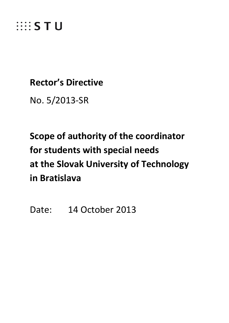

# **Rector's Directive**

No. 5/2013-SR

# **Scope of authority of the coordinator for students with special needs at the Slovak University of Technology in Bratislava**

Date: 14 October 2013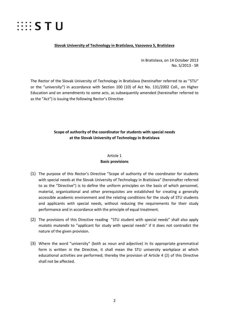

#### **Slovak University of Technology in Bratislava, Vazovova 5, Bratislava**

In Bratislava, on 14 October 2013 No. 5/2013 - SR

The Rector of the Slovak University of Technology in Bratislava (hereinafter referred to as "STU" or the "university") in accordance with Section 100 (10) of Act No. 131/2002 Coll., on Higher Education and on amendments to some acts, as subsequently amended (hereinafter referred to as the "Act") is issuing the following Rector's Directive

## **Scope of authority of the coordinator for students with special needs at the Slovak University of Technology in Bratislava**

#### Article 1

#### **Basic provisions**

- (1) The purpose of this Rector's Directive "Scope of authority of the coordinator for students with special needs at the Slovak University of Technology in Bratislava" (hereinafter referred to as the "Directive") is to define the uniform principles on the basis of which personnel, material, organizational and other prerequisites are established for creating a generally accessible academic environment and the relating conditions for the study of STU students and applicants with special needs, without reducing the requirements for their study performance and in accordance with the principle of equal treatment.
- (2) The provisions of this Directive reading "STU student with special needs" shall also apply *mutatis mutandis* to "applicant for study with special needs" if it does not contradict the nature of the given provision.
- (3) Where the word "university" (both as noun and adjective) in its appropriate grammatical form is written in the Directive, it shall mean the STU university workplace at which educational activities are performed; thereby the provision of Article 4 (2) of this Directive shall not be affected.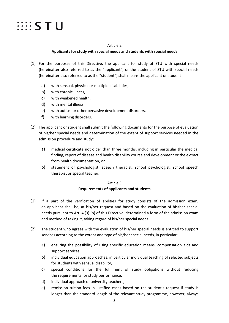

#### Article 2

#### **Applicants for study with special needs and students with special needs**

- (1) For the purposes of this Directive, the applicant for study at STU with special needs (hereinafter also referred to as the "applicant") or the student of STU with special needs (hereinafter also referred to as the "student") shall means the applicant or student
	- a) with sensual, physical or multiple disabilities,
	- b) with chronic illness,
	- c) with weakened health,
	- d) with mental illness,
	- e) with autism or other pervasive development disorders,
	- f) with learning disorders.
- (2) The applicant or student shall submit the following documents for the purpose of evaluation of his/her special needs and determination of the extent of support services needed in the admission procedure and study:
	- a) medical certificate not older than three months, including in particular the medical finding, report of disease and health disability course and development or the extract from health documentation, or
	- b) statement of psychologist, speech therapist, school psychologist, school speech therapist or special teacher.

#### Article 3

#### **Requirements of applicants and students**

- (1) If a part of the verification of abilities for study consists of the admission exam, an applicant shall be, at his/her request and based on the evaluation of his/her special needs pursuant to Art. 4 (3) (b) of this Directive, determined a form of the admission exam and method of taking it, taking regard of his/her special needs.
- (2) The student who agrees with the evaluation of his/her special needs is entitled to support services according to the extent and type of his/her special needs, in particular:
	- a) ensuring the possibility of using specific education means, compensation aids and support services,
	- b) individual education approaches, in particular individual teaching of selected subjects for students with sensual disability,
	- c) special conditions for the fulfilment of study obligations without reducing the requirements for study performance,
	- d) individual approach of university teachers,
	- e) remission tuition fees in justified cases based on the student's request if study is longer than the standard length of the relevant study programme, however, always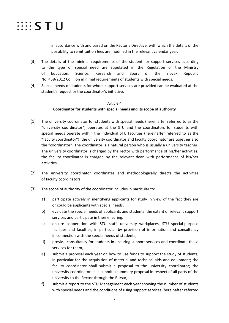

in accordance with and based on the Rector's Directive, with which the details of the possibility to remit tuition fees are modified in the relevant calendar year.

- (3) The details of the minimal requirements of the student for support services according to the type of special need are stipulated in the Regulation of the Ministry of Education, Science, Research and Sport of the Slovak Republic No. 458/2012 Coll., on minimal requirements of students with special needs.
- (4) Special needs of students for whom support services are provided can be evaluated at the student's request or the coordinator's initiative.

#### Article 4

#### **Coordinator for students with special needs and its scope of authority**

- (1) The university coordinator for students with special needs (hereinafter referred to as the "university coordinator") operates at the STU and the coordinators for students with special needs operate within the individual STU faculties (hereinafter referred to as the "faculty coordinator"); the university coordinator and faculty coordinator are together also the "coordinator". The coordinator is a natural person who is usually a university teacher. The university coordinator is charged by the rector with performance of his/her activities; the faculty coordinator is charged by the relevant dean with performance of his/her activities.
- (2) The university coordinator coordinates and methodologically directs the activities of faculty coordinators.
- (3) The scope of authority of the coordinator includes in particular to:
	- a) participate actively in identifying applicants for study in view of the fact they are or could be applicants with special needs,
	- b) evaluate the special needs of applicants and students, the extent of relevant support services and participate in their ensuring,
	- c) ensure cooperation with STU staff, university workplaces, STU special-purpose facilities and faculties, in particular by provision of information and consultancy in connection with the special needs of students,
	- d) provide consultancy for students in ensuring support services and coordinate these services for them,
	- e) submit a proposal each year on how to use funds to support the study of students, in particular for the acquisition of material and technical aids and equipment; the faculty coordinator shall submit a proposal to the university coordinator; the university coordinator shall submit a summary proposal in respect of all parts of the university to the Rector through the Bursar,
	- f) submit a report to the STU Management each year showing the number of students with special needs and the conditions of using support services (hereinafter referred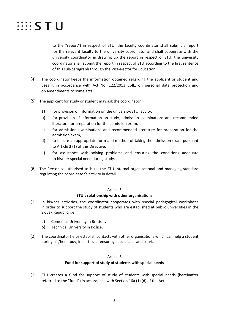

to the "report") in respect of STU; the faculty coordinator shall submit a report for the relevant faculty to the university coordinator and shall cooperate with the university coordinator in drawing up the report in respect of STU; the university coordinator shall submit the report in respect of STU according to the first sentence of this sub-paragraph through the Vice-Rector for Education.

- (4) The coordinator keeps the information obtained regarding the applicant or student and uses it in accordance with Act No. 122/2013 Coll., on personal data protection and on amendments to some acts.
- (5) The applicant for study or student may ask the coordinator
	- a) for provision of information on the university/STU faculty,
	- b) for provision of information on study, admission examinations and recommended literature for preparation for the admission exam,
	- c) for admission examinations and recommended literature for preparation for the admission exam,
	- d) to ensure an appropriate form and method of taking the admission exam pursuant to Article 3 (1) of this Directive,
	- e) for assistance with solving problems and ensuring the conditions adequate to his/her special need during study.
- (6) The Rector is authorised to issue the STU internal organizational and managing standard regulating the coordinator's activity in detail.

#### Article 5

#### **STU's relationship with other organisations**

- (1) In his/her activities, the coordinator cooperates with special pedagogical workplaces in order to support the study of students who are established at public universities in the Slovak Republic, i.e.:
	- a) Comenius University in Bratislava,
	- b) Technical University in Košice.
- (2) The coordinator helps establish contacts with other organisations which can help a student during his/her study, in particular ensuring special aids and services.

#### Article 6

#### **Fund for support of study of students with special needs**

(1) STU creates a fund for support of study of students with special needs (hereinafter referred to the "fund") in accordance with Section 16a (1) (d) of the Act.